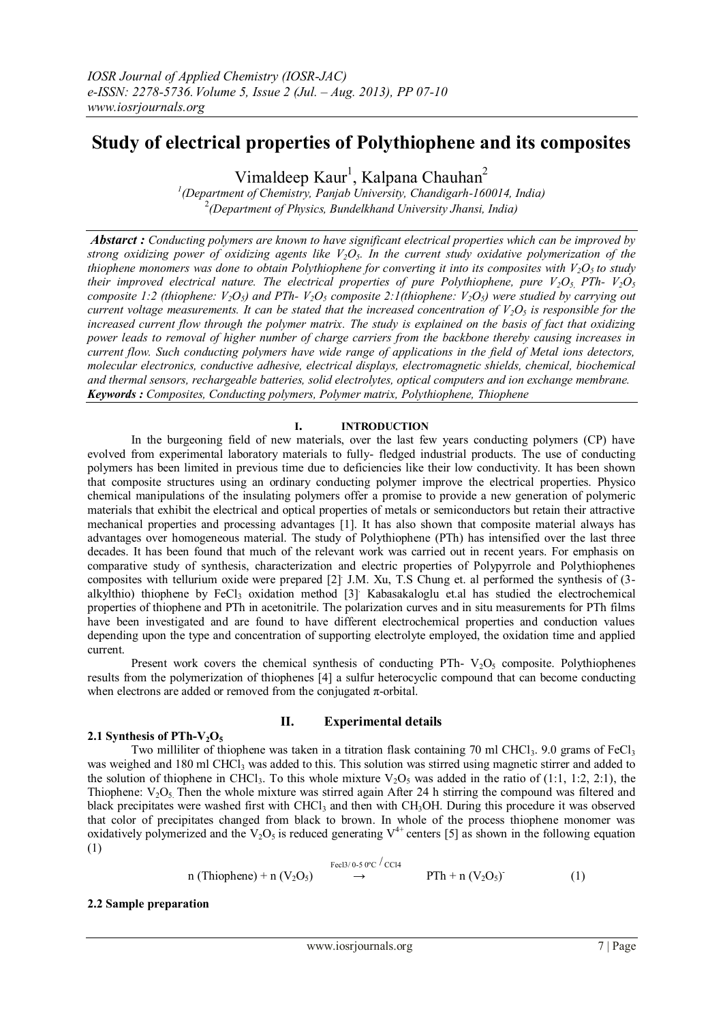# **Study of electrical properties of Polythiophene and its composites**

Vimaldeep Kaur<sup>1</sup>, Kalpana Chauhan<sup>2</sup>

*1 (Department of Chemistry, Panjab University, Chandigarh-160014, India)* 2 *(Department of Physics, Bundelkhand University Jhansi, India)*

*Abstarct : Conducting polymers are known to have significant electrical properties which can be improved by strong oxidizing power of oxidizing agents like V2O5. In the current study oxidative polymerization of the thiophene monomers was done to obtain Polythiophene for converting it into its composites with*  $V_2O_5$  *to study their improved electrical nature. The electrical properties of pure Polythiophene, pure*  $V_2O_5$ *, PTh-*  $V_2O_5$ *composite 1:2 (thiophene:*  $V_2O_5$ *) and PTh-* $V_2O_5$  *composite 2:1(thiophene:*  $V_2O_5$ *) were studied by carrying out current voltage measurements. It can be stated that the increased concentration of*  $V_2O_5$  *is responsible for the increased current flow through the polymer matrix. The study is explained on the basis of fact that oxidizing power leads to removal of higher number of charge carriers from the backbone thereby causing increases in current flow. Such conducting polymers have wide range of applications in the field of Metal ions detectors, molecular electronics, conductive adhesive, electrical displays, electromagnetic shields, chemical, biochemical and thermal sensors, rechargeable batteries, solid electrolytes, optical computers and ion exchange membrane. Keywords : Composites, Conducting polymers, Polymer matrix, Polythiophene, Thiophene*

### **I. INTRODUCTION**

In the burgeoning field of new materials, over the last few years conducting polymers (CP) have evolved from experimental laboratory materials to fully- fledged industrial products. The use of conducting polymers has been limited in previous time due to deficiencies like their low conductivity. It has been shown that composite structures using an ordinary conducting polymer improve the electrical properties. Physico chemical manipulations of the insulating polymers offer a promise to provide a new generation of polymeric materials that exhibit the electrical and optical properties of metals or semiconductors but retain their attractive mechanical properties and processing advantages [1]. It has also shown that composite material always has advantages over homogeneous material. The study of Polythiophene (PTh) has intensified over the last three decades. It has been found that much of the relevant work was carried out in recent years. For emphasis on comparative study of synthesis, characterization and electric properties of Polypyrrole and Polythiophenes composites with tellurium oxide were prepared [2] J.M. Xu, T.S Chung et. al performed the synthesis of (3alkylthio) thiophene by  $FeCl<sub>3</sub>$  oxidation method [3]. Kabasakaloglu et.al has studied the electrochemical properties of thiophene and PTh in acetonitrile. The polarization curves and in situ measurements for PTh films have been investigated and are found to have different electrochemical properties and conduction values depending upon the type and concentration of supporting electrolyte employed, the oxidation time and applied current.

Present work covers the chemical synthesis of conducting PTh-  $V_2O_5$  composite. Polythiophenes results from the polymerization of thiophenes [4] a sulfur heterocyclic compound that can become conducting when electrons are added or removed from the conjugated  $\pi$ -orbital.

# **II. Experimental details**

# 2.1 Synthesis of  $\text{PTh-V}_2\text{O}_5$

Two milliliter of thiophene was taken in a titration flask containing 70 ml CHCl<sub>3</sub>. 9.0 grams of FeCl<sub>3</sub> was weighed and 180 ml CHCl<sub>3</sub> was added to this. This solution was stirred using magnetic stirrer and added to the solution of thiophene in CHCl<sub>3</sub>. To this whole mixture  $V_2O_5$  was added in the ratio of (1:1, 1:2, 2:1), the Thiophene:  $V_2O_5$ . Then the whole mixture was stirred again After 24 h stirring the compound was filtered and black precipitates were washed first with CHCl<sub>3</sub> and then with CH<sub>3</sub>OH. During this procedure it was observed that color of precipitates changed from black to brown. In whole of the process thiophene monomer was oxidatively polymerized and the  $V_2O_5$  is reduced generating  $V^{4+}$  centers [5] as shown in the following equation (1)

> Fecl3/ 0-5 0ºC / CCl4 n (Thiophene) + n  $(V_2O_5) \rightarrow$  $PTh + n (V_2O_5)^2$ (1)

#### **2.2 Sample preparation**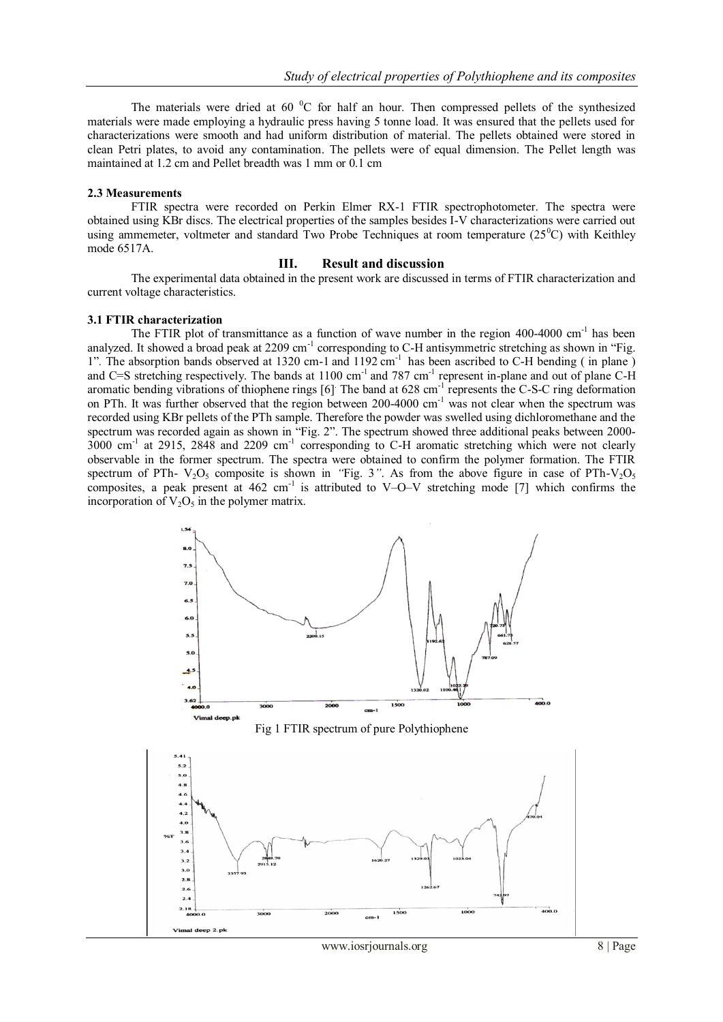The materials were dried at 60  $\rm{^0C}$  for half an hour. Then compressed pellets of the synthesized materials were made employing a hydraulic press having 5 tonne load. It was ensured that the pellets used for characterizations were smooth and had uniform distribution of material. The pellets obtained were stored in clean Petri plates, to avoid any contamination. The pellets were of equal dimension. The Pellet length was maintained at 1.2 cm and Pellet breadth was 1 mm or 0.1 cm

#### **2.3 Measurements**

FTIR spectra were recorded on Perkin Elmer RX-1 FTIR spectrophotometer. The spectra were obtained using KBr discs. The electrical properties of the samples besides I-V characterizations were carried out using ammemeter, voltmeter and standard Two Probe Techniques at room temperature  $(25^{\circ}C)$  with Keithley mode 6517A.

# **III. Result and discussion**

The experimental data obtained in the present work are discussed in terms of FTIR characterization and current voltage characteristics.

#### **3.1 FTIR characterization**

The FTIR plot of transmittance as a function of wave number in the region 400-4000 cm<sup>-1</sup> has been analyzed. It showed a broad peak at 2209 cm<sup>-1</sup> corresponding to C-H antisymmetric stretching as shown in "Fig. 1". The absorption bands observed at 1320 cm-1 and 1192 cm<sup>-1</sup> has been ascribed to C-H bending (in plane) and C=S stretching respectively. The bands at  $1100 \text{ cm}^{-1}$  and 787 cm<sup>-1</sup> represent in-plane and out of plane C-H aromatic bending vibrations of thiophene rings [6]. The band at 628 cm<sup>-1</sup> represents the C-S-C ring deformation on PTh. It was further observed that the region between 200-4000 cm<sup>-1</sup> was not clear when the spectrum was recorded using KBr pellets of the PTh sample. Therefore the powder was swelled using dichloromethane and the spectrum was recorded again as shown in "Fig. 2". The spectrum showed three additional peaks between 2000-3000 cm-1 at 2915, 2848 and 2209 cm-1 corresponding to C-H aromatic stretching which were not clearly observable in the former spectrum. The spectra were obtained to confirm the polymer formation. The FTIR spectrum of PTh-  $V_2O_5$  composite is shown in *"Fig. 3"*. As from the above figure in case of PTh- $V_2O_5$ composites, a peak present at  $462 \text{ cm}^{-1}$  is attributed to V–O–V stretching mode [7] which confirms the incorporation of  $V_2O_5$  in the polymer matrix.



Fig 1 FTIR spectrum of pure Polythiophene

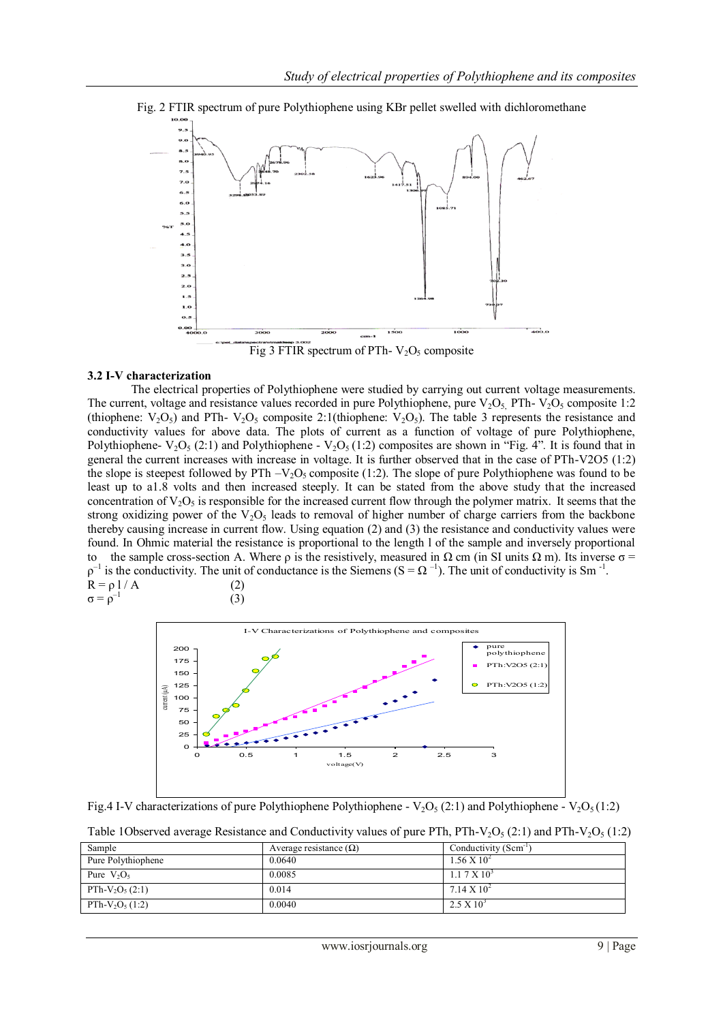

Fig. 2 FTIR spectrum of pure Polythiophene using KBr pellet swelled with dichloromethane

Fig 3 FTIR spectrum of PTh-  $V_2O_5$  composite

#### **3.2 I-V characterization**

The electrical properties of Polythiophene were studied by carrying out current voltage measurements. The current, voltage and resistance values recorded in pure Polythiophene, pure  $V_2O_5$ . PTh-  $V_2O_5$  composite 1:2 (thiophene:  $V_2O_5$ ) and PTh-  $V_2O_5$  composite 2:1(thiophene:  $V_2O_5$ ). The table 3 represents the resistance and conductivity values for above data. The plots of current as a function of voltage of pure Polythiophene, Polythiophene-  $V_2O_5(2,1)$  and Polythiophene -  $V_2O_5(1,2)$  composites are shown in "Fig. 4". It is found that in general the current increases with increase in voltage. It is further observed that in the case of PTh-V2O5 (1:2) the slope is steepest followed by PTh  $-V<sub>2</sub>O<sub>5</sub>$  composite (1:2). The slope of pure Polythiophene was found to be least up to a1.8 volts and then increased steeply. It can be stated from the above study that the increased concentration of  $V_2O_5$  is responsible for the increased current flow through the polymer matrix. It seems that the strong oxidizing power of the  $V_2O_5$  leads to removal of higher number of charge carriers from the backbone thereby causing increase in current flow. Using equation (2) and (3) the resistance and conductivity values were found. In Ohmic material the resistance is proportional to the length l of the sample and inversely proportional to the sample cross-section A. Where  $\rho$  is the resistively, measured in  $\Omega$  cm (in SI units  $\Omega$  m). Its inverse  $\sigma$  =  $\rho^{-1}$  is the conductivity. The unit of conductance is the Siemens (S =  $\Omega^{-1}$ ). The unit of conductivity is Sm<sup>-1</sup>.  $R = \rho l / A$  (2)  $\sigma = \rho^{-1}$ (3)



Fig.4 I-V characterizations of pure Polythiophene Polythiophene - V<sub>2</sub>O<sub>5</sub> (2:1) and Polythiophene - V<sub>2</sub>O<sub>5</sub> (1:2)

Table 1Observed average Resistance and Conductivity values of pure PTh, PTh-V<sub>2</sub>O<sub>5</sub> (2:1) and PTh-V<sub>2</sub>O<sub>5</sub> (1:2)

| Sample             | Average resistance $(\Omega)$ | Conductivity (Scm <sup>-1)</sup> |
|--------------------|-------------------------------|----------------------------------|
| Pure Polythiophene | 0.0640                        | $1.56 \times 10^{2}$             |
| Pure $V_2O_5$      | 0.0085                        | $1.17 \times 10^{3}$             |
| PTh- $V_2O_5(2:1)$ | 0.014                         | $7.14 \times 10^{2}$             |
| PTh- $V_2O_5(1:2)$ | 0.0040                        | $2.5 \times 10^{3}$              |